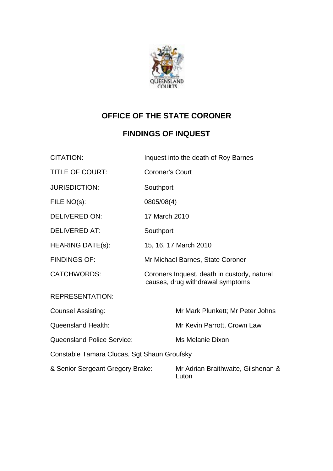

# **OFFICE OF THE STATE CORONER**

# **FINDINGS OF INQUEST**

| <b>CITATION:</b>                            | Inquest into the death of Roy Barnes                                            |                                             |  |
|---------------------------------------------|---------------------------------------------------------------------------------|---------------------------------------------|--|
| <b>TITLE OF COURT:</b>                      | <b>Coroner's Court</b>                                                          |                                             |  |
| <b>JURISDICTION:</b>                        | Southport                                                                       |                                             |  |
| FILE NO(s):                                 | 0805/08(4)                                                                      |                                             |  |
| <b>DELIVERED ON:</b>                        | 17 March 2010                                                                   |                                             |  |
| <b>DELIVERED AT:</b>                        | Southport                                                                       |                                             |  |
| <b>HEARING DATE(s):</b>                     | 15, 16, 17 March 2010                                                           |                                             |  |
| <b>FINDINGS OF:</b>                         | Mr Michael Barnes, State Coroner                                                |                                             |  |
| <b>CATCHWORDS:</b>                          | Coroners Inquest, death in custody, natural<br>causes, drug withdrawal symptoms |                                             |  |
| <b>REPRESENTATION:</b>                      |                                                                                 |                                             |  |
| <b>Counsel Assisting:</b>                   |                                                                                 | Mr Mark Plunkett; Mr Peter Johns            |  |
| <b>Queensland Health:</b>                   |                                                                                 | Mr Kevin Parrott, Crown Law                 |  |
| <b>Queensland Police Service:</b>           |                                                                                 | <b>Ms Melanie Dixon</b>                     |  |
| Constable Tamara Clucas, Sgt Shaun Groufsky |                                                                                 |                                             |  |
| & Senior Sergeant Gregory Brake:            |                                                                                 | Mr Adrian Braithwaite, Gilshenan &<br>Luton |  |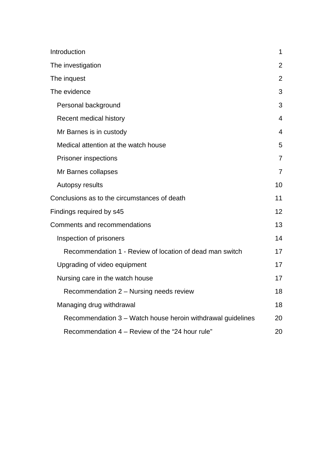| Introduction                                                | 1              |
|-------------------------------------------------------------|----------------|
| The investigation                                           | $\overline{2}$ |
| The inquest                                                 | $\overline{2}$ |
| The evidence                                                | 3              |
| Personal background                                         | 3              |
| Recent medical history                                      | $\overline{4}$ |
| Mr Barnes is in custody                                     | $\overline{4}$ |
| Medical attention at the watch house                        |                |
| <b>Prisoner inspections</b>                                 |                |
| Mr Barnes collapses                                         |                |
| Autopsy results                                             | 10             |
| Conclusions as to the circumstances of death                |                |
| Findings required by s45                                    |                |
| Comments and recommendations                                |                |
| Inspection of prisoners                                     |                |
| Recommendation 1 - Review of location of dead man switch    |                |
| Upgrading of video equipment                                |                |
| Nursing care in the watch house                             |                |
| Recommendation 2 - Nursing needs review                     |                |
| Managing drug withdrawal                                    |                |
| Recommendation 3 - Watch house heroin withdrawal guidelines |                |
| Recommendation 4 - Review of the "24 hour rule"             | 20             |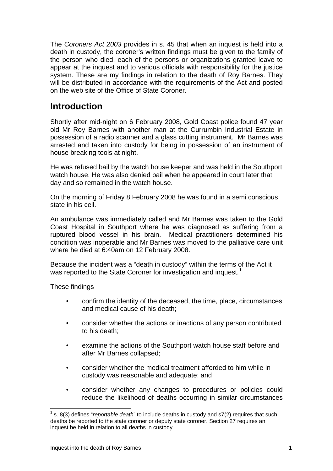<span id="page-2-0"></span>The *Coroners Act 2003* provides in s. 45 that when an inquest is held into a death in custody, the coroner's written findings must be given to the family of the person who died, each of the persons or organizations granted leave to appear at the inquest and to various officials with responsibility for the justice system. These are my findings in relation to the death of Roy Barnes. They will be distributed in accordance with the requirements of the Act and posted on the web site of the Office of State Coroner.

# **Introduction**

Shortly after mid-night on 6 February 2008, Gold Coast police found 47 year old Mr Roy Barnes with another man at the Currumbin Industrial Estate in possession of a radio scanner and a glass cutting instrument. Mr Barnes was arrested and taken into custody for being in possession of an instrument of house breaking tools at night.

He was refused bail by the watch house keeper and was held in the Southport watch house. He was also denied bail when he appeared in court later that day and so remained in the watch house.

On the morning of Friday 8 February 2008 he was found in a semi conscious state in his cell.

An ambulance was immediately called and Mr Barnes was taken to the Gold Coast Hospital in Southport where he was diagnosed as suffering from a ruptured blood vessel in his brain. Medical practitioners determined his condition was inoperable and Mr Barnes was moved to the palliative care unit where he died at 6:40am on 12 February 2008.

Because the incident was a "death in custody" within the terms of the Act it was reported to the State Coroner for investigation and inquest.<sup>[1](#page-2-1)</sup>

These findings

- confirm the identity of the deceased, the time, place, circumstances and medical cause of his death;
- consider whether the actions or inactions of any person contributed to his death;
- examine the actions of the Southport watch house staff before and after Mr Barnes collapsed;
- consider whether the medical treatment afforded to him while in custody was reasonable and adequate; and
- consider whether any changes to procedures or policies could reduce the likelihood of deaths occurring in similar circumstances

<span id="page-2-1"></span> $\overline{a}$ <sup>1</sup> s. 8(3) defines "*reportable death*" to include deaths in custody and s7(2) requires that such deaths be reported to the state coroner or deputy state coroner. Section 27 requires an inquest be held in relation to all deaths in custody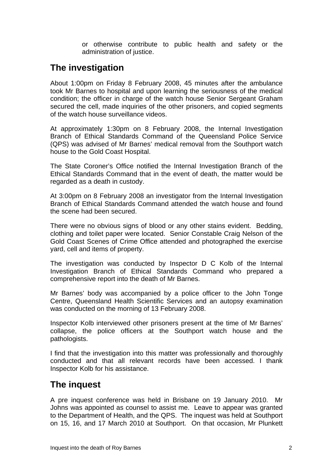or otherwise contribute to public health and safety or the administration of justice.

# <span id="page-3-0"></span>**The investigation**

About 1:00pm on Friday 8 February 2008, 45 minutes after the ambulance took Mr Barnes to hospital and upon learning the seriousness of the medical condition; the officer in charge of the watch house Senior Sergeant Graham secured the cell, made inquiries of the other prisoners, and copied segments of the watch house surveillance videos.

At approximately 1:30pm on 8 February 2008, the Internal Investigation Branch of Ethical Standards Command of the Queensland Police Service (QPS) was advised of Mr Barnes' medical removal from the Southport watch house to the Gold Coast Hospital.

The State Coroner's Office notified the Internal Investigation Branch of the Ethical Standards Command that in the event of death, the matter would be regarded as a death in custody.

At 3:00pm on 8 February 2008 an investigator from the Internal Investigation Branch of Ethical Standards Command attended the watch house and found the scene had been secured.

There were no obvious signs of blood or any other stains evident. Bedding, clothing and toilet paper were located. Senior Constable Craig Nelson of the Gold Coast Scenes of Crime Office attended and photographed the exercise yard, cell and items of property.

The investigation was conducted by Inspector D C Kolb of the Internal Investigation Branch of Ethical Standards Command who prepared a comprehensive report into the death of Mr Barnes.

Mr Barnes' body was accompanied by a police officer to the John Tonge Centre, Queensland Health Scientific Services and an autopsy examination was conducted on the morning of 13 February 2008.

Inspector Kolb interviewed other prisoners present at the time of Mr Barnes' collapse, the police officers at the Southport watch house and the pathologists.

I find that the investigation into this matter was professionally and thoroughly conducted and that all relevant records have been accessed. I thank Inspector Kolb for his assistance.

# **The inquest**

A pre inquest conference was held in Brisbane on 19 January 2010. Mr Johns was appointed as counsel to assist me. Leave to appear was granted to the Department of Health, and the QPS. The inquest was held at Southport on 15, 16, and 17 March 2010 at Southport. On that occasion, Mr Plunkett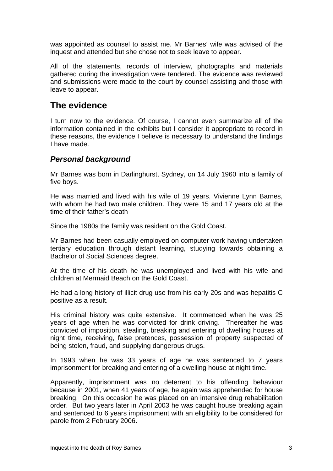<span id="page-4-0"></span>was appointed as counsel to assist me. Mr Barnes' wife was advised of the inquest and attended but she chose not to seek leave to appear.

All of the statements, records of interview, photographs and materials gathered during the investigation were tendered. The evidence was reviewed and submissions were made to the court by counsel assisting and those with leave to appear.

## **The evidence**

I turn now to the evidence. Of course, I cannot even summarize all of the information contained in the exhibits but I consider it appropriate to record in these reasons, the evidence I believe is necessary to understand the findings I have made.

## *Personal background*

Mr Barnes was born in Darlinghurst, Sydney, on 14 July 1960 into a family of five boys.

He was married and lived with his wife of 19 years, Vivienne Lynn Barnes, with whom he had two male children. They were 15 and 17 years old at the time of their father's death

Since the 1980s the family was resident on the Gold Coast.

Mr Barnes had been casually employed on computer work having undertaken tertiary education through distant learning, studying towards obtaining a Bachelor of Social Sciences degree.

At the time of his death he was unemployed and lived with his wife and children at Mermaid Beach on the Gold Coast.

He had a long history of illicit drug use from his early 20s and was hepatitis C positive as a result.

His criminal history was quite extensive. It commenced when he was 25 years of age when he was convicted for drink driving. Thereafter he was convicted of imposition, stealing, breaking and entering of dwelling houses at night time, receiving, false pretences, possession of property suspected of being stolen, fraud, and supplying dangerous drugs.

In 1993 when he was 33 years of age he was sentenced to 7 years imprisonment for breaking and entering of a dwelling house at night time.

Apparently, imprisonment was no deterrent to his offending behaviour because in 2001, when 41 years of age, he again was apprehended for house breaking. On this occasion he was placed on an intensive drug rehabilitation order. But two years later in April 2003 he was caught house breaking again and sentenced to 6 years imprisonment with an eligibility to be considered for parole from 2 February 2006.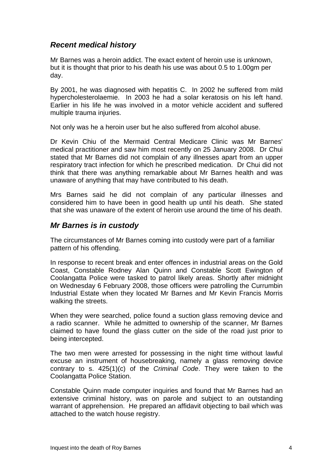## <span id="page-5-0"></span>*Recent medical history*

Mr Barnes was a heroin addict. The exact extent of heroin use is unknown, but it is thought that prior to his death his use was about 0.5 to 1.00gm per day.

By 2001, he was diagnosed with hepatitis C. In 2002 he suffered from mild hypercholesterolaemie. In 2003 he had a solar keratosis on his left hand. Earlier in his life he was involved in a motor vehicle accident and suffered multiple trauma injuries.

Not only was he a heroin user but he also suffered from alcohol abuse.

Dr Kevin Chiu of the Mermaid Central Medicare Clinic was Mr Barnes' medical practitioner and saw him most recently on 25 January 2008. Dr Chui stated that Mr Barnes did not complain of any illnesses apart from an upper respiratory tract infection for which he prescribed medication. Dr Chui did not think that there was anything remarkable about Mr Barnes health and was unaware of anything that may have contributed to his death.

Mrs Barnes said he did not complain of any particular illnesses and considered him to have been in good health up until his death. She stated that she was unaware of the extent of heroin use around the time of his death.

## *Mr Barnes is in custody*

The circumstances of Mr Barnes coming into custody were part of a familiar pattern of his offending.

In response to recent break and enter offences in industrial areas on the Gold Coast, Constable Rodney Alan Quinn and Constable Scott Ewington of Coolangatta Police were tasked to patrol likely areas. Shortly after midnight on Wednesday 6 February 2008, those officers were patrolling the Currumbin Industrial Estate when they located Mr Barnes and Mr Kevin Francis Morris walking the streets.

When they were searched, police found a suction glass removing device and a radio scanner. While he admitted to ownership of the scanner, Mr Barnes claimed to have found the glass cutter on the side of the road just prior to being intercepted.

The two men were arrested for possessing in the night time without lawful excuse an instrument of housebreaking, namely a glass removing device contrary to s. 425(1)(c) of the *Criminal Code*. They were taken to the Coolangatta Police Station.

Constable Quinn made computer inquiries and found that Mr Barnes had an extensive criminal history, was on parole and subject to an outstanding warrant of apprehension. He prepared an affidavit objecting to bail which was attached to the watch house registry.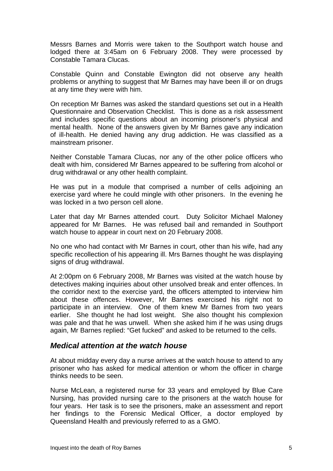<span id="page-6-0"></span>Messrs Barnes and Morris were taken to the Southport watch house and lodged there at 3:45am on 6 February 2008. They were processed by Constable Tamara Clucas.

Constable Quinn and Constable Ewington did not observe any health problems or anything to suggest that Mr Barnes may have been ill or on drugs at any time they were with him.

On reception Mr Barnes was asked the standard questions set out in a Health Questionnaire and Observation Checklist. This is done as a risk assessment and includes specific questions about an incoming prisoner's physical and mental health. None of the answers given by Mr Barnes gave any indication of ill-health. He denied having any drug addiction. He was classified as a mainstream prisoner.

Neither Constable Tamara Clucas, nor any of the other police officers who dealt with him, considered Mr Barnes appeared to be suffering from alcohol or drug withdrawal or any other health complaint.

He was put in a module that comprised a number of cells adjoining an exercise yard where he could mingle with other prisoners. In the evening he was locked in a two person cell alone.

Later that day Mr Barnes attended court. Duty Solicitor Michael Maloney appeared for Mr Barnes. He was refused bail and remanded in Southport watch house to appear in court next on 20 February 2008.

No one who had contact with Mr Barnes in court, other than his wife, had any specific recollection of his appearing ill. Mrs Barnes thought he was displaying signs of drug withdrawal.

At 2:00pm on 6 February 2008, Mr Barnes was visited at the watch house by detectives making inquiries about other unsolved break and enter offences. In the corridor next to the exercise yard, the officers attempted to interview him about these offences. However, Mr Barnes exercised his right not to participate in an interview. One of them knew Mr Barnes from two years earlier. She thought he had lost weight. She also thought his complexion was pale and that he was unwell. When she asked him if he was using drugs again, Mr Barnes replied: "Get fucked" and asked to be returned to the cells.

### *Medical attention at the watch house*

At about midday every day a nurse arrives at the watch house to attend to any prisoner who has asked for medical attention or whom the officer in charge thinks needs to be seen.

Nurse McLean, a registered nurse for 33 years and employed by Blue Care Nursing, has provided nursing care to the prisoners at the watch house for four years. Her task is to see the prisoners, make an assessment and report her findings to the Forensic Medical Officer, a doctor employed by Queensland Health and previously referred to as a GMO.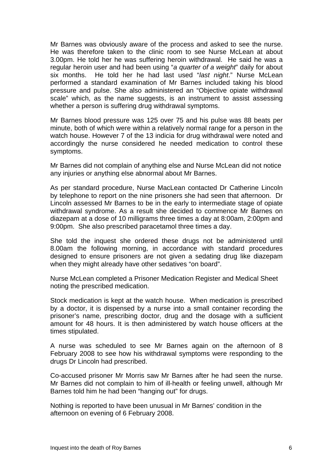Mr Barnes was obviously aware of the process and asked to see the nurse. He was therefore taken to the clinic room to see Nurse McLean at about 3.00pm. He told her he was suffering heroin withdrawal. He said he was a regular heroin user and had been using "*a quarter of a weight*" daily for about six months. He told her he had last used "*last night*." Nurse McLean performed a standard examination of Mr Barnes included taking his blood pressure and pulse. She also administered an "Objective opiate withdrawal scale" which, as the name suggests, is an instrument to assist assessing whether a person is suffering drug withdrawal symptoms.

Mr Barnes blood pressure was 125 over 75 and his pulse was 88 beats per minute, both of which were within a relatively normal range for a person in the watch house. However 7 of the 13 indicia for drug withdrawal were noted and accordingly the nurse considered he needed medication to control these symptoms.

Mr Barnes did not complain of anything else and Nurse McLean did not notice any injuries or anything else abnormal about Mr Barnes.

As per standard procedure, Nurse MacLean contacted Dr Catherine Lincoln by telephone to report on the nine prisoners she had seen that afternoon. Dr Lincoln assessed Mr Barnes to be in the early to intermediate stage of opiate withdrawal syndrome. As a result she decided to commence Mr Barnes on diazepam at a dose of 10 milligrams three times a day at 8:00am, 2:00pm and 9:00pm. She also prescribed paracetamol three times a day.

She told the inquest she ordered these drugs not be administered until 8.00am the following morning, in accordance with standard procedures designed to ensure prisoners are not given a sedating drug like diazepam when they might already have other sedatives "on board".

Nurse McLean completed a Prisoner Medication Register and Medical Sheet noting the prescribed medication.

Stock medication is kept at the watch house. When medication is prescribed by a doctor, it is dispensed by a nurse into a small container recording the prisoner's name, prescribing doctor, drug and the dosage with a sufficient amount for 48 hours. It is then administered by watch house officers at the times stipulated.

A nurse was scheduled to see Mr Barnes again on the afternoon of 8 February 2008 to see how his withdrawal symptoms were responding to the drugs Dr Lincoln had prescribed.

Co-accused prisoner Mr Morris saw Mr Barnes after he had seen the nurse. Mr Barnes did not complain to him of ill-health or feeling unwell, although Mr Barnes told him he had been "hanging out" for drugs.

Nothing is reported to have been unusual in Mr Barnes' condition in the afternoon on evening of 6 February 2008.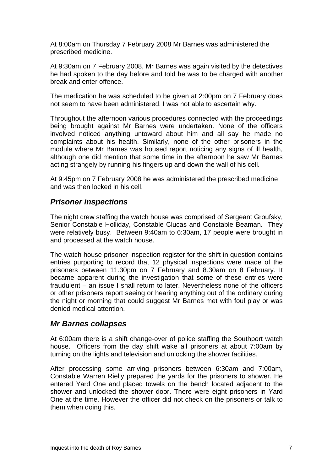<span id="page-8-0"></span>At 8:00am on Thursday 7 February 2008 Mr Barnes was administered the prescribed medicine.

At 9:30am on 7 February 2008, Mr Barnes was again visited by the detectives he had spoken to the day before and told he was to be charged with another break and enter offence.

The medication he was scheduled to be given at 2:00pm on 7 February does not seem to have been administered. I was not able to ascertain why.

Throughout the afternoon various procedures connected with the proceedings being brought against Mr Barnes were undertaken. None of the officers involved noticed anything untoward about him and all say he made no complaints about his health. Similarly, none of the other prisoners in the module where Mr Barnes was housed report noticing any signs of ill health, although one did mention that some time in the afternoon he saw Mr Barnes acting strangely by running his fingers up and down the wall of his cell.

At 9:45pm on 7 February 2008 he was administered the prescribed medicine and was then locked in his cell.

### *Prisoner inspections*

The night crew staffing the watch house was comprised of Sergeant Groufsky, Senior Constable Holliday, Constable Clucas and Constable Beaman. They were relatively busy. Between 9:40am to 6:30am, 17 people were brought in and processed at the watch house.

The watch house prisoner inspection register for the shift in question contains entries purporting to record that 12 physical inspections were made of the prisoners between 11.30pm on 7 February and 8.30am on 8 February. It became apparent during the investigation that some of these entries were fraudulent – an issue I shall return to later. Nevertheless none of the officers or other prisoners report seeing or hearing anything out of the ordinary during the night or morning that could suggest Mr Barnes met with foul play or was denied medical attention.

### *Mr Barnes collapses*

At 6:00am there is a shift change-over of police staffing the Southport watch house. Officers from the day shift wake all prisoners at about 7:00am by turning on the lights and television and unlocking the shower facilities.

After processing some arriving prisoners between 6:30am and 7:00am, Constable Warren Rielly prepared the yards for the prisoners to shower. He entered Yard One and placed towels on the bench located adjacent to the shower and unlocked the shower door. There were eight prisoners in Yard One at the time. However the officer did not check on the prisoners or talk to them when doing this.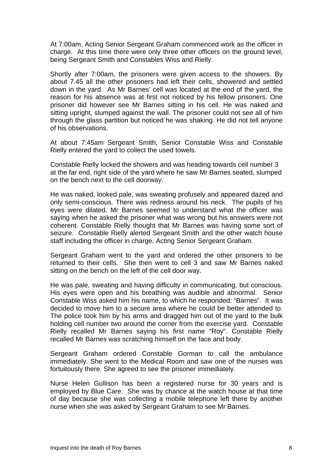At 7:00am, Acting Senior Sergeant Graham commenced work as the officer in charge. At this time there were only three other officers on the ground level, being Sergeant Smith and Constables Wiss and Rielly.

Shortly after 7:00am, the prisoners were given access to the showers. By about 7.45 all the other prisoners had left their cells, showered and settled down in the yard. As Mr Barnes' cell was located at the end of the yard, the reason for his absence was at first not noticed by his fellow prisoners. One prisoner did however see Mr Barnes sitting in his cell. He was naked and sitting upright, slumped against the wall. The prisoner could not see all of him through the glass partition but noticed he was shaking. He did not tell anyone of his observations.

At about 7:45am Sergeant Smith, Senior Constable Wiss and Constable Rielly entered the yard to collect the used towels.

Constable Rielly locked the showers and was heading towards cell number 3 at the far end, right side of the yard where he saw Mr Barnes seated, slumped on the bench next to the cell doorway.

He was naked, looked pale, was sweating profusely and appeared dazed and only semi-conscious. There was redness around his neck. The pupils of his eyes were dilated. Mr Barnes seemed to understand what the officer was saying when he asked the prisoner what was wrong but his answers were not coherent. Constable Rielly thought that Mr Barnes was having some sort of seizure. Constable Rielly alerted Sergeant Smith and the other watch house staff including the officer in charge, Acting Senior Sergeant Graham.

Sergeant Graham went to the yard and ordered the other prisoners to be returned to their cells. She then went to cell 3 and saw Mr Barnes naked sitting on the bench on the left of the cell door way.

He was pale, sweating and having difficulty in communicating, but conscious. His eyes were open and his breathing was audible and abnormal. Senior Constable Wiss asked him his name, to which he responded: "Barnes". It was decided to move him to a secure area where he could be better attended to. The police took him by his arms and dragged him out of the yard to the bulk holding cell number two around the corner from the exercise yard. Constable Rielly recalled Mr Barnes saying his first name "Roy". Constable Rielly recalled Mr Barnes was scratching himself on the face and body.

Sergeant Graham ordered Constable Gorman to call the ambulance immediately. She went to the Medical Room and saw one of the nurses was fortuitously there. She agreed to see the prisoner immediately.

Nurse Helen Gullison has been a registered nurse for 30 years and is employed by Blue Care. She was by chance at the watch house at that time of day because she was collecting a mobile telephone left there by another nurse when she was asked by Sergeant Graham to see Mr Barnes.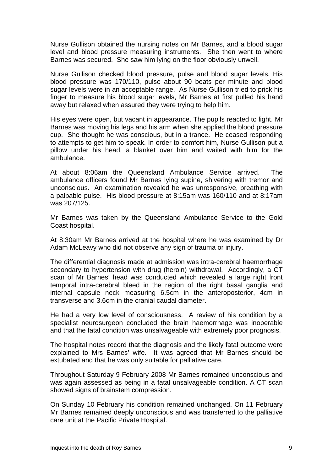Nurse Gullison obtained the nursing notes on Mr Barnes, and a blood sugar level and blood pressure measuring instruments. She then went to where Barnes was secured. She saw him lying on the floor obviously unwell.

Nurse Gullison checked blood pressure, pulse and blood sugar levels. His blood pressure was 170/110, pulse about 90 beats per minute and blood sugar levels were in an acceptable range. As Nurse Gullison tried to prick his finger to measure his blood sugar levels, Mr Barnes at first pulled his hand away but relaxed when assured they were trying to help him.

His eyes were open, but vacant in appearance. The pupils reacted to light. Mr Barnes was moving his legs and his arm when she applied the blood pressure cup. She thought he was conscious, but in a trance. He ceased responding to attempts to get him to speak. In order to comfort him, Nurse Gullison put a pillow under his head, a blanket over him and waited with him for the ambulance.

At about 8:06am the Queensland Ambulance Service arrived. The ambulance officers found Mr Barnes lying supine, shivering with tremor and unconscious. An examination revealed he was unresponsive, breathing with a palpable pulse. His blood pressure at 8:15am was 160/110 and at 8:17am was 207/125.

Mr Barnes was taken by the Queensland Ambulance Service to the Gold Coast hospital.

At 8:30am Mr Barnes arrived at the hospital where he was examined by Dr Adam McLeavy who did not observe any sign of trauma or injury.

The differential diagnosis made at admission was intra-cerebral haemorrhage secondary to hypertension with drug (heroin) withdrawal. Accordingly, a CT scan of Mr Barnes' head was conducted which revealed a large right front temporal intra-cerebral bleed in the region of the right basal ganglia and internal capsule neck measuring 6.5cm in the anteroposterior, 4cm in transverse and 3.6cm in the cranial caudal diameter.

He had a very low level of consciousness. A review of his condition by a specialist neurosurgeon concluded the brain haemorrhage was inoperable and that the fatal condition was unsalvageable with extremely poor prognosis.

The hospital notes record that the diagnosis and the likely fatal outcome were explained to Mrs Barnes' wife. It was agreed that Mr Barnes should be extubated and that he was only suitable for palliative care.

Throughout Saturday 9 February 2008 Mr Barnes remained unconscious and was again assessed as being in a fatal unsalvageable condition. A CT scan showed signs of brainstem compression.

On Sunday 10 February his condition remained unchanged. On 11 February Mr Barnes remained deeply unconscious and was transferred to the palliative care unit at the Pacific Private Hospital.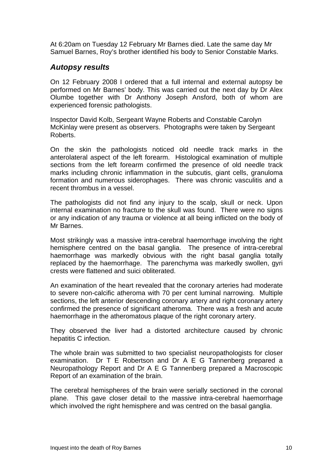<span id="page-11-0"></span>At 6:20am on Tuesday 12 February Mr Barnes died. Late the same day Mr Samuel Barnes, Roy's brother identified his body to Senior Constable Marks.

### *Autopsy results*

On 12 February 2008 I ordered that a full internal and external autopsy be performed on Mr Barnes' body. This was carried out the next day by Dr Alex Olumbe together with Dr Anthony Joseph Ansford, both of whom are experienced forensic pathologists.

Inspector David Kolb, Sergeant Wayne Roberts and Constable Carolyn McKinlay were present as observers. Photographs were taken by Sergeant Roberts.

On the skin the pathologists noticed old needle track marks in the anterolateral aspect of the left forearm. Histological examination of multiple sections from the left forearm confirmed the presence of old needle track marks including chronic inflammation in the subcutis, giant cells, granuloma formation and numerous siderophages. There was chronic vasculitis and a recent thrombus in a vessel.

The pathologists did not find any injury to the scalp, skull or neck. Upon internal examination no fracture to the skull was found. There were no signs or any indication of any trauma or violence at all being inflicted on the body of Mr Barnes.

Most strikingly was a massive intra-cerebral haemorrhage involving the right hemisphere centred on the basal ganglia. The presence of intra-cerebral haemorrhage was markedly obvious with the right basal ganglia totally replaced by the haemorrhage. The parenchyma was markedly swollen, gyri crests were flattened and suici obliterated.

An examination of the heart revealed that the coronary arteries had moderate to severe non-calcific atheroma with 70 per cent luminal narrowing. Multiple sections, the left anterior descending coronary artery and right coronary artery confirmed the presence of significant atheroma. There was a fresh and acute haemorrhage in the atheromatous plaque of the right coronary artery.

They observed the liver had a distorted architecture caused by chronic hepatitis C infection.

The whole brain was submitted to two specialist neuropathologists for closer examination. Dr T E Robertson and Dr A E G Tannenberg prepared a Neuropathology Report and Dr A E G Tannenberg prepared a Macroscopic Report of an examination of the brain.

The cerebral hemispheres of the brain were serially sectioned in the coronal plane. This gave closer detail to the massive intra-cerebral haemorrhage which involved the right hemisphere and was centred on the basal ganglia.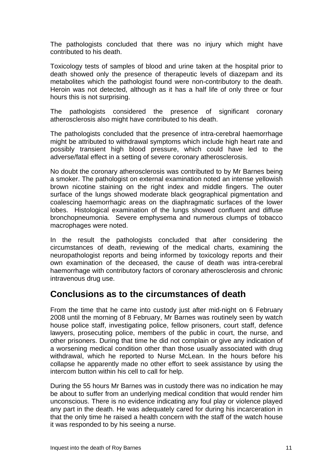<span id="page-12-0"></span>The pathologists concluded that there was no injury which might have contributed to his death.

Toxicology tests of samples of blood and urine taken at the hospital prior to death showed only the presence of therapeutic levels of diazepam and its metabolites which the pathologist found were non-contributory to the death. Heroin was not detected, although as it has a half life of only three or four hours this is not surprising.

The pathologists considered the presence of significant coronary atherosclerosis also might have contributed to his death.

The pathologists concluded that the presence of intra-cerebral haemorrhage might be attributed to withdrawal symptoms which include high heart rate and possibly transient high blood pressure, which could have led to the adverse/fatal effect in a setting of severe coronary atherosclerosis.

No doubt the coronary atherosclerosis was contributed to by Mr Barnes being a smoker. The pathologist on external examination noted an intense yellowish brown nicotine staining on the right index and middle fingers. The outer surface of the lungs showed moderate black geographical pigmentation and coalescing haemorrhagic areas on the diaphragmatic surfaces of the lower lobes. Histological examination of the lungs showed confluent and diffuse bronchopneumonia. Severe emphysema and numerous clumps of tobacco macrophages were noted.

In the result the pathologists concluded that after considering the circumstances of death, reviewing of the medical charts, examining the neuropathologist reports and being informed by toxicology reports and their own examination of the deceased, the cause of death was intra-cerebral haemorrhage with contributory factors of coronary atherosclerosis and chronic intravenous drug use.

## **Conclusions as to the circumstances of death**

From the time that he came into custody just after mid-night on 6 February 2008 until the morning of 8 February, Mr Barnes was routinely seen by watch house police staff, investigating police, fellow prisoners, court staff, defence lawyers, prosecuting police, members of the public in court, the nurse, and other prisoners. During that time he did not complain or give any indication of a worsening medical condition other than those usually associated with drug withdrawal, which he reported to Nurse McLean. In the hours before his collapse he apparently made no other effort to seek assistance by using the intercom button within his cell to call for help.

During the 55 hours Mr Barnes was in custody there was no indication he may be about to suffer from an underlying medical condition that would render him unconscious. There is no evidence indicating any foul play or violence played any part in the death. He was adequately cared for during his incarceration in that the only time he raised a health concern with the staff of the watch house it was responded to by his seeing a nurse.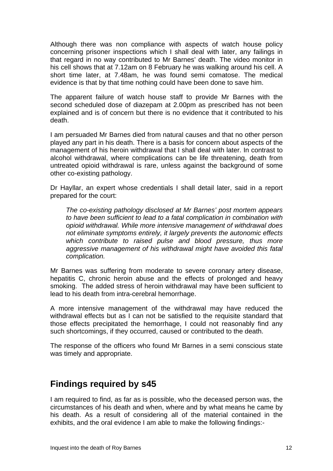<span id="page-13-0"></span>Although there was non compliance with aspects of watch house policy concerning prisoner inspections which I shall deal with later, any failings in that regard in no way contributed to Mr Barnes' death. The video monitor in his cell shows that at 7.12am on 8 February he was walking around his cell. A short time later, at 7.48am, he was found semi comatose. The medical evidence is that by that time nothing could have been done to save him.

The apparent failure of watch house staff to provide Mr Barnes with the second scheduled dose of diazepam at 2.00pm as prescribed has not been explained and is of concern but there is no evidence that it contributed to his death.

I am persuaded Mr Barnes died from natural causes and that no other person played any part in his death. There is a basis for concern about aspects of the management of his heroin withdrawal that I shall deal with later. In contrast to alcohol withdrawal, where complications can be life threatening, death from untreated opioid withdrawal is rare, unless against the background of some other co-existing pathology.

Dr Hayllar, an expert whose credentials I shall detail later, said in a report prepared for the court:

*The co-existing pathology disclosed at Mr Barnes' post mortem appears to have been sufficient to lead to a fatal complication in combination with opioid withdrawal. While more intensive management of withdrawal does not eliminate symptoms entirely, it largely prevents the autonomic effects which contribute to raised pulse and blood pressure, thus more aggressive management of his withdrawal might have avoided this fatal complication.* 

Mr Barnes was suffering from moderate to severe coronary artery disease, hepatitis C, chronic heroin abuse and the effects of prolonged and heavy smoking. The added stress of heroin withdrawal may have been sufficient to lead to his death from intra-cerebral hemorrhage.

A more intensive management of the withdrawal may have reduced the withdrawal effects but as I can not be satisfied to the requisite standard that those effects precipitated the hemorrhage, I could not reasonably find any such shortcomings, if they occurred, caused or contributed to the death.

The response of the officers who found Mr Barnes in a semi conscious state was timely and appropriate.

## **Findings required by s45**

I am required to find, as far as is possible, who the deceased person was, the circumstances of his death and when, where and by what means he came by his death. As a result of considering all of the material contained in the exhibits, and the oral evidence I am able to make the following findings:-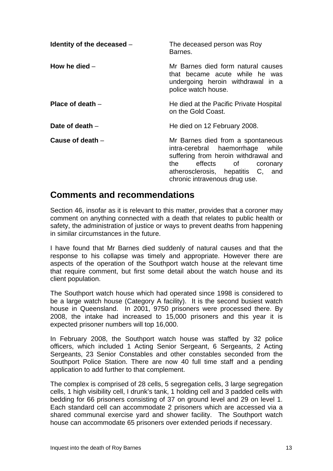<span id="page-14-0"></span>

| Identity of the deceased - | The deceased person was Roy<br>Barnes.                                                                                                                                                                               |
|----------------------------|----------------------------------------------------------------------------------------------------------------------------------------------------------------------------------------------------------------------|
| How he died $-$            | Mr Barnes died form natural causes<br>that became acute while he was<br>undergoing heroin withdrawal in a<br>police watch house.                                                                                     |
| Place of death $-$         | He died at the Pacific Private Hospital<br>on the Gold Coast.                                                                                                                                                        |
| Date of death $-$          | He died on 12 February 2008.                                                                                                                                                                                         |
| Cause of death $-$         | Mr Barnes died from a spontaneous<br>intra-cerebral haemorrhage while<br>suffering from heroin withdrawal and<br>effects of<br>the<br>coronary<br>atherosclerosis, hepatitis C, and<br>chronic intravenous drug use. |

## **Comments and recommendations**

Section 46, insofar as it is relevant to this matter, provides that a coroner may comment on anything connected with a death that relates to public health or safety, the administration of justice or ways to prevent deaths from happening in similar circumstances in the future.

I have found that Mr Barnes died suddenly of natural causes and that the response to his collapse was timely and appropriate. However there are aspects of the operation of the Southport watch house at the relevant time that require comment, but first some detail about the watch house and its client population.

The Southport watch house which had operated since 1998 is considered to be a large watch house (Category A facility). It is the second busiest watch house in Queensland. In 2001, 9750 prisoners were processed there. By 2008, the intake had increased to 15,000 prisoners and this year it is expected prisoner numbers will top 16,000.

In February 2008, the Southport watch house was staffed by 32 police officers, which included 1 Acting Senior Sergeant, 6 Sergeants, 2 Acting Sergeants, 23 Senior Constables and other constables seconded from the Southport Police Station. There are now 40 full time staff and a pending application to add further to that complement.

The complex is comprised of 28 cells, 5 segregation cells, 3 large segregation cells, 1 high visibility cell, I drunk's tank, 1 holding cell and 3 padded cells with bedding for 66 prisoners consisting of 37 on ground level and 29 on level 1. Each standard cell can accommodate 2 prisoners which are accessed via a shared communal exercise yard and shower facility. The Southport watch house can accommodate 65 prisoners over extended periods if necessary.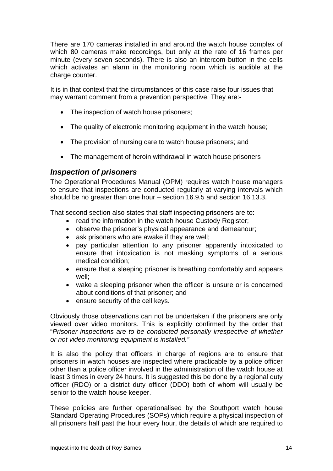<span id="page-15-0"></span>There are 170 cameras installed in and around the watch house complex of which 80 cameras make recordings, but only at the rate of 16 frames per minute (every seven seconds). There is also an intercom button in the cells which activates an alarm in the monitoring room which is audible at the charge counter.

It is in that context that the circumstances of this case raise four issues that may warrant comment from a prevention perspective. They are:-

- The inspection of watch house prisoners;
- The quality of electronic monitoring equipment in the watch house;
- The provision of nursing care to watch house prisoners; and
- The management of heroin withdrawal in watch house prisoners

## *Inspection of prisoners*

The Operational Procedures Manual (OPM) requires watch house managers to ensure that inspections are conducted regularly at varying intervals which should be no greater than one hour – section 16.9.5 and section 16.13.3.

That second section also states that staff inspecting prisoners are to:

- read the information in the watch house Custody Register;
- observe the prisoner's physical appearance and demeanour;
- ask prisoners who are awake if they are well;
- pay particular attention to any prisoner apparently intoxicated to ensure that intoxication is not masking symptoms of a serious medical condition;
- ensure that a sleeping prisoner is breathing comfortably and appears well;
- wake a sleeping prisoner when the officer is unsure or is concerned about conditions of that prisoner; and
- ensure security of the cell keys.

Obviously those observations can not be undertaken if the prisoners are only viewed over video monitors. This is explicitly confirmed by the order that "*Prisoner inspections are to be conducted personally irrespective of whether or not video monitoring equipment is installed."*

It is also the policy that officers in charge of regions are to ensure that prisoners in watch houses are inspected where practicable by a police officer other than a police officer involved in the administration of the watch house at least 3 times in every 24 hours. It is suggested this be done by a regional duty officer (RDO) or a district duty officer (DDO) both of whom will usually be senior to the watch house keeper.

These policies are further operationalised by the Southport watch house Standard Operating Procedures (SOPs) which require a physical inspection of all prisoners half past the hour every hour, the details of which are required to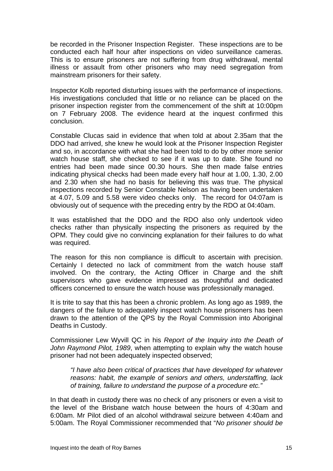be recorded in the Prisoner Inspection Register. These inspections are to be conducted each half hour after inspections on video surveillance cameras. This is to ensure prisoners are not suffering from drug withdrawal, mental illness or assault from other prisoners who may need segregation from mainstream prisoners for their safety.

Inspector Kolb reported disturbing issues with the performance of inspections. His investigations concluded that little or no reliance can be placed on the prisoner inspection register from the commencement of the shift at 10:00pm on 7 February 2008. The evidence heard at the inquest confirmed this conclusion.

Constable Clucas said in evidence that when told at about 2.35am that the DDO had arrived, she knew he would look at the Prisoner Inspection Register and so, in accordance with what she had been told to do by other more senior watch house staff, she checked to see if it was up to date. She found no entries had been made since 00.30 hours. She then made false entries indicating physical checks had been made every half hour at 1.00, 1.30, 2.00 and 2.30 when she had no basis for believing this was true. The physical inspections recorded by Senior Constable Nelson as having been undertaken at 4.07, 5.09 and 5.58 were video checks only. The record for 04:07am is obviously out of sequence with the preceding entry by the RDO at 04:40am.

It was established that the DDO and the RDO also only undertook video checks rather than physically inspecting the prisoners as required by the OPM. They could give no convincing explanation for their failures to do what was required.

The reason for this non compliance is difficult to ascertain with precision. Certainly I detected no lack of commitment from the watch house staff involved. On the contrary, the Acting Officer in Charge and the shift supervisors who gave evidence impressed as thoughtful and dedicated officers concerned to ensure the watch house was professionally managed.

It is trite to say that this has been a chronic problem. As long ago as 1989, the dangers of the failure to adequately inspect watch house prisoners has been drawn to the attention of the QPS by the Royal Commission into Aboriginal Deaths in Custody.

Commissioner Lew Wyvill QC in his *Report of the Inquiry into the Death of John Raymond Pilot, 1989*, when attempting to explain why the watch house prisoner had not been adequately inspected observed;

*"I have also been critical of practices that have developed for whatever reasons: habit, the example of seniors and others, understaffing, lack of training, failure to understand the purpose of a procedure etc."* 

In that death in custody there was no check of any prisoners or even a visit to the level of the Brisbane watch house between the hours of 4:30am and 6:00am. Mr Pilot died of an alcohol withdrawal seizure between 4:40am and 5:00am. The Royal Commissioner recommended that "*No prisoner should be*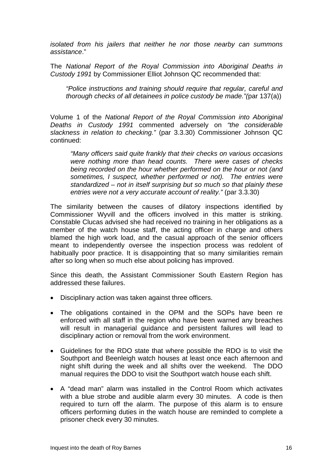*isolated from his jailers that neither he nor those nearby can summons assistance*."

The *National Report of the Royal Commission into Aboriginal Deaths in Custody 1991* by Commissioner Elliot Johnson QC recommended that:

*"Police instructions and training should require that regular, careful and thorough checks of all detainees in police custody be made."(*par 137(a))

Volume 1 of the *National Report of the Royal Commission into Aboriginal Deaths in Custody 1991* commented adversely on *"the considerable slackness in relation to checking."* (par 3.3.30) Commissioner Johnson QC continued:

*"Many officers said quite frankly that their checks on various occasions were nothing more than head counts. There were cases of checks being recorded on the hour whether performed on the hour or not (and sometimes, I suspect, whether performed or not). The entries were standardized – not in itself surprising but so much so that plainly these entries were not a very accurate account of reality."* (par 3.3.30)

The similarity between the causes of dilatory inspections identified by Commissioner Wyvill and the officers involved in this matter is striking. Constable Clucas advised she had received no training in her obligations as a member of the watch house staff, the acting officer in charge and others blamed the high work load, and the casual approach of the senior officers meant to independently oversee the inspection process was redolent of habitually poor practice. It is disappointing that so many similarities remain after so long when so much else about policing has improved.

Since this death, the Assistant Commissioner South Eastern Region has addressed these failures.

- Disciplinary action was taken against three officers.
- The obligations contained in the OPM and the SOPs have been re enforced with all staff in the region who have been warned any breaches will result in managerial guidance and persistent failures will lead to disciplinary action or removal from the work environment.
- Guidelines for the RDO state that where possible the RDO is to visit the Southport and Beenleigh watch houses at least once each afternoon and night shift during the week and all shifts over the weekend. The DDO manual requires the DDO to visit the Southport watch house each shift.
- A "dead man" alarm was installed in the Control Room which activates with a blue strobe and audible alarm every 30 minutes. A code is then required to turn off the alarm. The purpose of this alarm is to ensure officers performing duties in the watch house are reminded to complete a prisoner check every 30 minutes.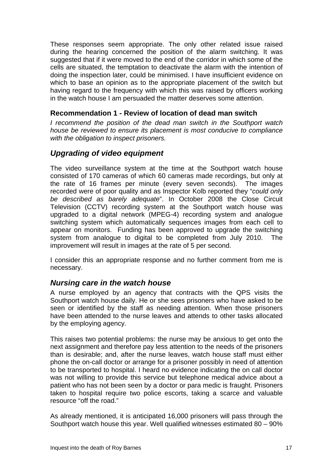<span id="page-18-0"></span>These responses seem appropriate. The only other related issue raised during the hearing concerned the position of the alarm switching. It was suggested that if it were moved to the end of the corridor in which some of the cells are situated, the temptation to deactivate the alarm with the intention of doing the inspection later, could be minimised. I have insufficient evidence on which to base an opinion as to the appropriate placement of the switch but having regard to the frequency with which this was raised by officers working in the watch house I am persuaded the matter deserves some attention.

#### **Recommendation 1 - Review of location of dead man switch**

*I recommend the position of the dead man switch in the Southport watch house be reviewed to ensure its placement is most conducive to compliance with the obligation to inspect prisoners.* 

## *Upgrading of video equipment*

The video surveillance system at the time at the Southport watch house consisted of 170 cameras of which 60 cameras made recordings, but only at the rate of 16 frames per minute (every seven seconds). The images recorded were of poor quality and as Inspector Kolb reported they "*could only be described as barely adequate*". In October 2008 the Close Circuit Television (CCTV) recording system at the Southport watch house was upgraded to a digital network (MPEG-4) recording system and analogue switching system which automatically sequences images from each cell to appear on monitors. Funding has been approved to upgrade the switching system from analogue to digital to be completed from July 2010. The improvement will result in images at the rate of 5 per second.

I consider this an appropriate response and no further comment from me is necessary.

### *Nursing care in the watch house*

A nurse employed by an agency that contracts with the QPS visits the Southport watch house daily. He or she sees prisoners who have asked to be seen or identified by the staff as needing attention. When those prisoners have been attended to the nurse leaves and attends to other tasks allocated by the employing agency.

This raises two potential problems: the nurse may be anxious to get onto the next assignment and therefore pay less attention to the needs of the prisoners than is desirable; and, after the nurse leaves, watch house staff must either phone the on-call doctor or arrange for a prisoner possibly in need of attention to be transported to hospital. I heard no evidence indicating the on call doctor was not willing to provide this service but telephone medical advice about a patient who has not been seen by a doctor or para medic is fraught. Prisoners taken to hospital require two police escorts, taking a scarce and valuable resource "off the road."

As already mentioned, it is anticipated 16,000 prisoners will pass through the Southport watch house this year. Well qualified witnesses estimated 80 – 90%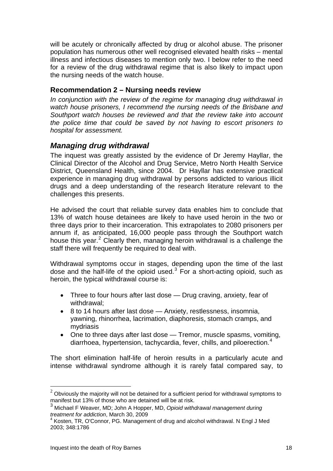<span id="page-19-0"></span>will be acutely or chronically affected by drug or alcohol abuse. The prisoner population has numerous other well recognised elevated health risks – mental illness and infectious diseases to mention only two. I below refer to the need for a review of the drug withdrawal regime that is also likely to impact upon the nursing needs of the watch house.

### **Recommendation 2 – Nursing needs review**

*In conjunction with the review of the regime for managing drug withdrawal in watch house prisoners, I recommend the nursing needs of the Brisbane and Southport watch houses be reviewed and that the review take into account the police time that could be saved by not having to escort prisoners to hospital for assessment.* 

### *Managing drug withdrawal*

The inquest was greatly assisted by the evidence of Dr Jeremy Hayllar, the Clinical Director of the Alcohol and Drug Service, Metro North Health Service District, Queensland Health, since 2004. Dr Hayllar has extensive practical experience in managing drug withdrawal by persons addicted to various illicit drugs and a deep understanding of the research literature relevant to the challenges this presents.

He advised the court that reliable survey data enables him to conclude that 13% of watch house detainees are likely to have used heroin in the two or three days prior to their incarceration. This extrapolates to 2080 prisoners per annum if, as anticipated, 16,000 people pass through the Southport watch house this year.<sup>[2](#page-19-1)</sup> Clearly then, managing heroin withdrawal is a challenge the staff there will frequently be required to deal with.

Withdrawal symptoms occur in stages, depending upon the time of the last dose and the half-life of the opioid used. $3$  For a short-acting opioid, such as heroin, the typical withdrawal course is:

- Three to four hours after last dose Drug craving, anxiety, fear of withdrawal;
- 8 to 14 hours after last dose Anxiety, restlessness, insomnia, yawning, rhinorrhea, lacrimation, diaphoresis, stomach cramps, and mydriasis
- One to three days after last dose Tremor, muscle spasms, vomiting, diarrhoea, hypertension, tachycardia, fever, chills, and piloerection.<sup>[4](#page-19-3)</sup>

The short elimination half-life of heroin results in a particularly acute and intense withdrawal syndrome although it is rarely fatal compared say, to

 $\overline{a}$ 

<span id="page-19-1"></span> $^{\rm 2}$  Obviously the majority will not be detained for a sufficient period for withdrawal symptoms to manifest but 13% of those who are detained will be at risk.

<span id="page-19-2"></span><sup>3</sup> [Michael F Weaver, MD; John A Hopper, MD](http://www.utdol.com/online/content/author.do?topicKey=subabuse%2F6738), *Opioid withdrawal management during treatment for addiction*, March 30, 2009

<span id="page-19-3"></span><sup>&</sup>lt;sup>4</sup> Kosten, TR, O'Connor, PG. Management of drug and alcohol withdrawal. N Engl J Med 2003; 348:1786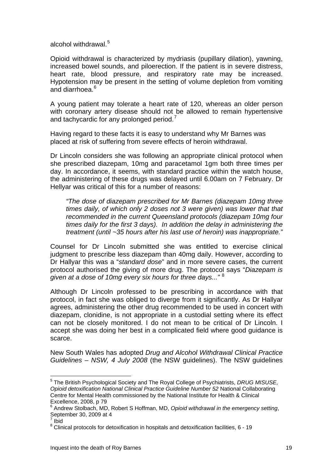alcohol withdrawal.<sup>[5](#page-20-0)</sup>

Opioid withdrawal is characterized by mydriasis (pupillary dilation), yawning, increased bowel sounds, and piloerection. If the patient is in severe distress, heart rate, blood pressure, and respiratory rate may be increased. Hypotension may be present in the setting of volume depletion from vomiting and diarrhoea.<sup>[6](#page-20-1)</sup>

A young patient may tolerate a heart rate of 120, whereas an older person with coronary artery disease should not be allowed to remain hypertensive and tachycardic for any prolonged period.<sup>[7](#page-20-2)</sup>

Having regard to these facts it is easy to understand why Mr Barnes was placed at risk of suffering from severe effects of heroin withdrawal.

Dr Lincoln considers she was following an appropriate clinical protocol when she prescribed diazepam, 10mg and paracetamol 1gm both three times per day. In accordance, it seems, with standard practice within the watch house, the administering of these drugs was delayed until 6.00am on 7 February. Dr Hellyar was critical of this for a number of reasons:

*"The dose of diazepam prescribed for Mr Barnes (diazepam 10mg three times daily, of which only 2 doses not 3 were given) was lower that that recommended in the current Queensland protocols (diazepam 10mg four times daily for the first 3 days). In addition the delay in administering the treatment (until ~35 hours after his last use of heroin) was inappropriate."* 

Counsel for Dr Lincoln submitted she was entitled to exercise clinical judgment to prescribe less diazepam than 40mg daily. However, according to Dr Hallyar this was a "*standard dose*" and in more severe cases, the current protocol authorised the giving of more drug. The protocol says "*Diazepam is given at a dose of 10mg every six hours for three days..."* [8](#page-20-3)

Although Dr Lincoln professed to be prescribing in accordance with that protocol, in fact she was obliged to diverge from it significantly. As Dr Hallyar agrees, administering the other drug recommended to be used in concert with diazepam, clonidine, is not appropriate in a custodial setting where its effect can not be closely monitored. I do not mean to be critical of Dr Lincoln. I accept she was doing her best in a complicated field where good guidance is scarce.

New South Wales has adopted *Drug and Alcohol Withdrawal Clinical Practice Guidelines – NSW, 4 July 2008* (the NSW guidelines). The NSW guidelines

 $\overline{a}$ 

<span id="page-20-0"></span><sup>5</sup> The British Psychological Society and The Royal College of Psychiatrists, *DRUG MISUSE, Opioid detoxification National Clinical Practice Guideline Number 52* National Collaborating Centre for Mental Health commissioned by the National Institute for Health & Clinical Excellence, 2008, p 79

<span id="page-20-1"></span><sup>6</sup> [Andrew Stolbach, MD, Robert S Hoffman, MD,](http://www.utdol.com/online/content/author.do?topicKey=ad_tox%2F14248) *Opioid withdrawal in the emergency setting*, September 30, 2009 at 4

<span id="page-20-3"></span><span id="page-20-2"></span>Ibid

<sup>&</sup>lt;sup>8</sup> Clinical protocols for detoxification in hospitals and detoxification facilities, 6 - 19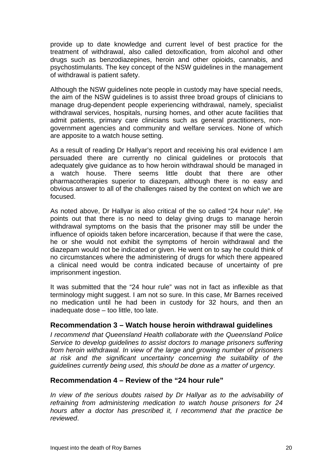<span id="page-21-0"></span>provide up to date knowledge and current level of best practice for the treatment of withdrawal, also called detoxification, from alcohol and other drugs such as benzodiazepines, heroin and other opioids, cannabis, and psychostimulants. The key concept of the NSW guidelines in the management of withdrawal is patient safety.

Although the NSW guidelines note people in custody may have special needs, the aim of the NSW guidelines is to assist three broad groups of clinicians to manage drug-dependent people experiencing withdrawal, namely, specialist withdrawal services, hospitals, nursing homes, and other acute facilities that admit patients, primary care clinicians such as general practitioners, nongovernment agencies and community and welfare services. None of which are apposite to a watch house setting.

As a result of reading Dr Hallyar's report and receiving his oral evidence I am persuaded there are currently no clinical guidelines or protocols that adequately give guidance as to how heroin withdrawal should be managed in a watch house. There seems little doubt that there are other pharmacotherapies superior to diazepam, although there is no easy and obvious answer to all of the challenges raised by the context on which we are focused.

As noted above, Dr Hallyar is also critical of the so called "24 hour rule". He points out that there is no need to delay giving drugs to manage heroin withdrawal symptoms on the basis that the prisoner may still be under the influence of opioids taken before incarceration, because if that were the case, he or she would not exhibit the symptoms of heroin withdrawal and the diazepam would not be indicated or given. He went on to say he could think of no circumstances where the administering of drugs for which there appeared a clinical need would be contra indicated because of uncertainty of pre imprisonment ingestion.

It was submitted that the "24 hour rule" was not in fact as inflexible as that terminology might suggest. I am not so sure. In this case, Mr Barnes received no medication until he had been in custody for 32 hours, and then an inadequate dose – too little, too late.

### **Recommendation 3 – Watch house heroin withdrawal guidelines**

*I recommend that Queensland Health collaborate with the Queensland Police Service to develop guidelines to assist doctors to manage prisoners suffering from heroin withdrawal. In view of the large and growing number of prisoners at risk and the significant uncertainty concerning the suitability of the guidelines currently being used, this should be done as a matter of urgency.* 

### **Recommendation 4 – Review of the "24 hour rule"**

*In view of the serious doubts raised by Dr Hallyar as to the advisability of refraining from administering medication to watch house prisoners for 24 hours after a doctor has prescribed it, I recommend that the practice be reviewed*.